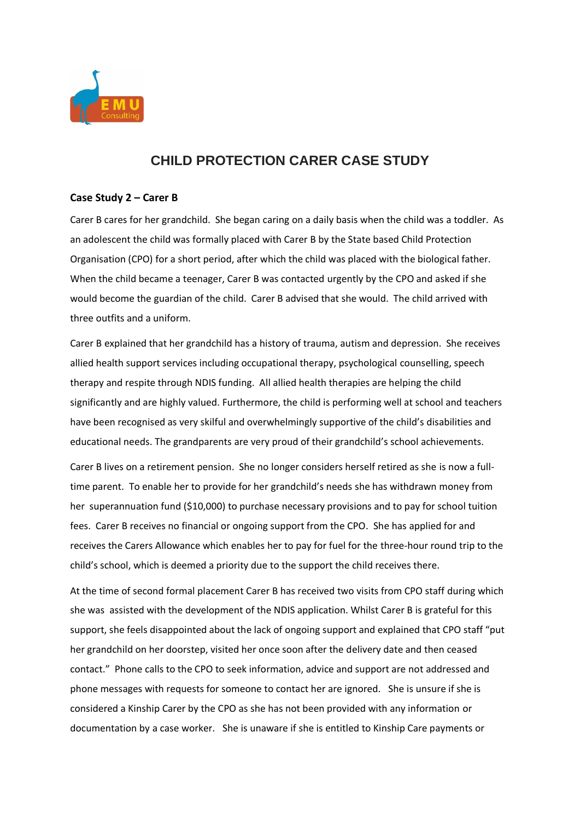

## **CHILD PROTECTION CARER CASE STUDY**

## **Case Study 2 – Carer B**

Carer B cares for her grandchild. She began caring on a daily basis when the child was a toddler. As an adolescent the child was formally placed with Carer B by the State based Child Protection Organisation (CPO) for a short period, after which the child was placed with the biological father. When the child became a teenager, Carer B was contacted urgently by the CPO and asked if she would become the guardian of the child. Carer B advised that she would. The child arrived with three outfits and a uniform.

Carer B explained that her grandchild has a history of trauma, autism and depression. She receives allied health support services including occupational therapy, psychological counselling, speech therapy and respite through NDIS funding. All allied health therapies are helping the child significantly and are highly valued. Furthermore, the child is performing well at school and teachers have been recognised as very skilful and overwhelmingly supportive of the child's disabilities and educational needs. The grandparents are very proud of their grandchild's school achievements.

Carer B lives on a retirement pension. She no longer considers herself retired as she is now a fulltime parent. To enable her to provide for her grandchild's needs she has withdrawn money from her superannuation fund (\$10,000) to purchase necessary provisions and to pay for school tuition fees. Carer B receives no financial or ongoing support from the CPO. She has applied for and receives the Carers Allowance which enables her to pay for fuel for the three-hour round trip to the child's school, which is deemed a priority due to the support the child receives there.

At the time of second formal placement Carer B has received two visits from CPO staff during which she was assisted with the development of the NDIS application. Whilst Carer B is grateful for this support, she feels disappointed about the lack of ongoing support and explained that CPO staff "put her grandchild on her doorstep, visited her once soon after the delivery date and then ceased contact." Phone calls to the CPO to seek information, advice and support are not addressed and phone messages with requests for someone to contact her are ignored. She is unsure if she is considered a Kinship Carer by the CPO as she has not been provided with any information or documentation by a case worker. She is unaware if she is entitled to Kinship Care payments or